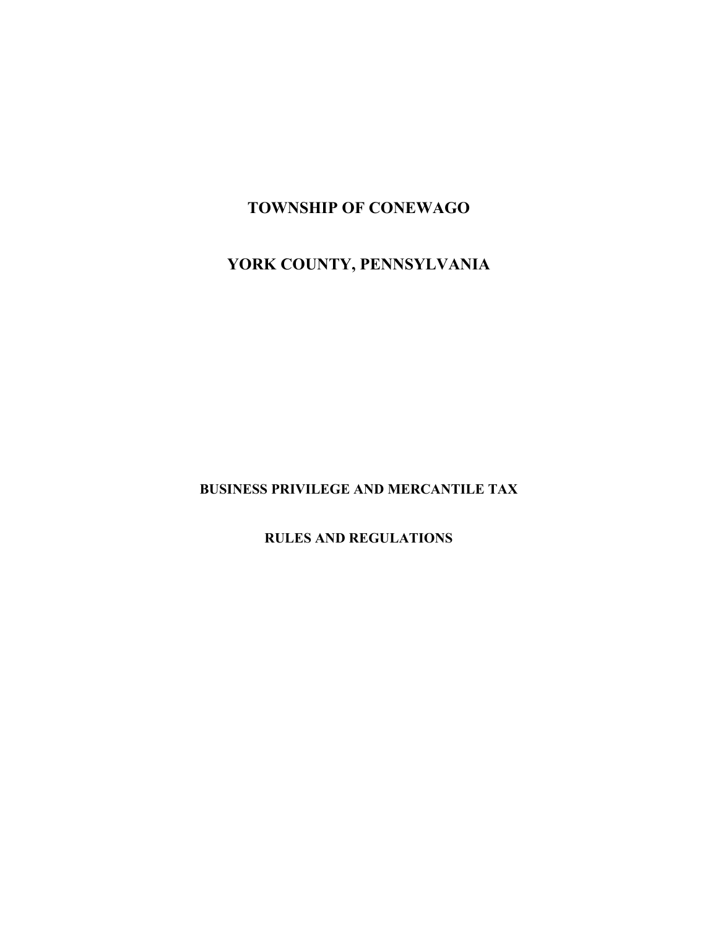## **TOWNSHIP OF CONEWAGO**

# **YORK COUNTY, PENNSYLVANIA**

**BUSINESS PRIVILEGE AND MERCANTILE TAX** 

**RULES AND REGULATIONS**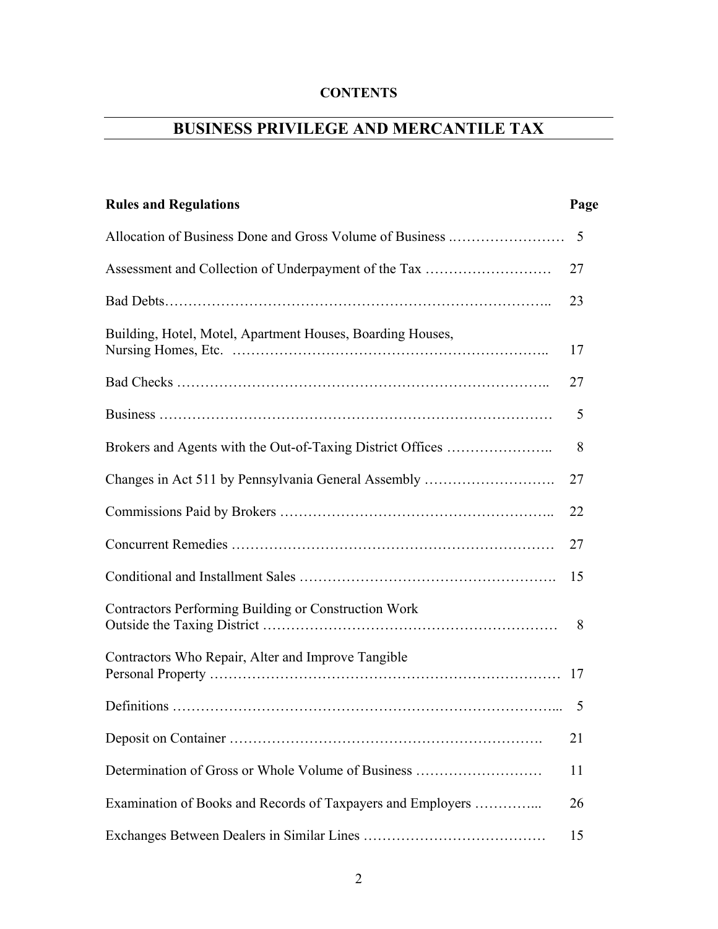## **CONTENTS**

# **BUSINESS PRIVILEGE AND MERCANTILE TAX**

| <b>Rules and Regulations</b>                                | Page |
|-------------------------------------------------------------|------|
|                                                             | 5    |
|                                                             | 27   |
|                                                             | 23   |
| Building, Hotel, Motel, Apartment Houses, Boarding Houses,  | 17   |
|                                                             | 27   |
|                                                             | 5    |
| Brokers and Agents with the Out-of-Taxing District Offices  | 8    |
| Changes in Act 511 by Pennsylvania General Assembly         | 27   |
|                                                             | 22   |
|                                                             | 27   |
|                                                             | 15   |
| Contractors Performing Building or Construction Work        | 8    |
| Contractors Who Repair, Alter and Improve Tangible          | 17   |
|                                                             | 5    |
|                                                             | 21   |
| Determination of Gross or Whole Volume of Business          | 11   |
| Examination of Books and Records of Taxpayers and Employers | 26   |
|                                                             | 15   |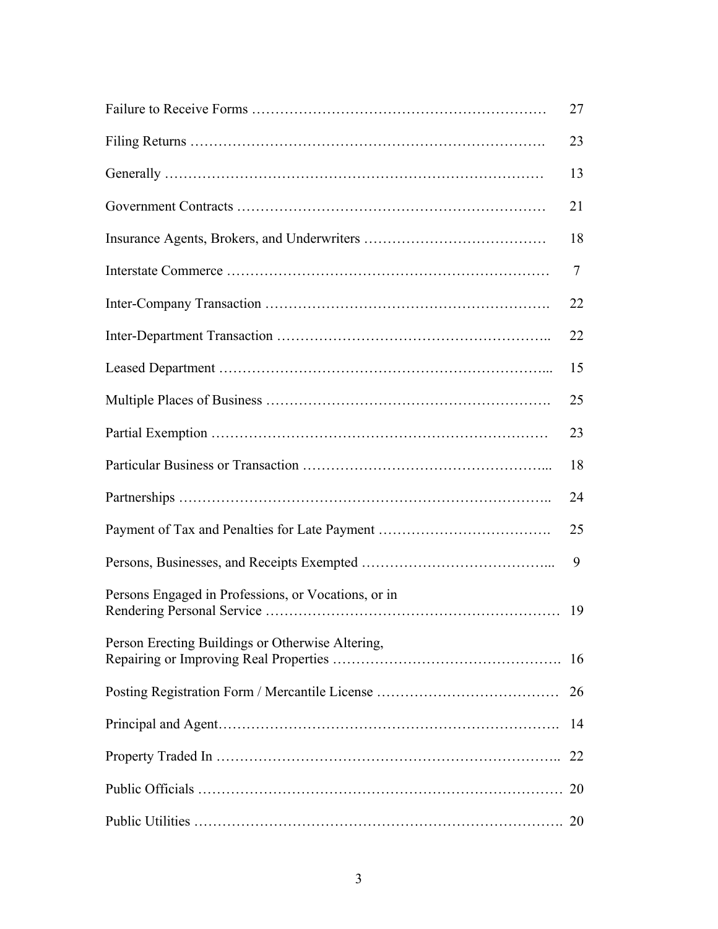|                                                     | 27 |
|-----------------------------------------------------|----|
|                                                     | 23 |
|                                                     | 13 |
|                                                     | 21 |
|                                                     | 18 |
|                                                     | 7  |
|                                                     | 22 |
|                                                     | 22 |
|                                                     | 15 |
|                                                     | 25 |
|                                                     | 23 |
|                                                     | 18 |
|                                                     | 24 |
|                                                     | 25 |
|                                                     | 9  |
| Persons Engaged in Professions, or Vocations, or in | 19 |
| Person Erecting Buildings or Otherwise Altering,    | 16 |
|                                                     | 26 |
|                                                     | 14 |
|                                                     | 22 |
|                                                     | 20 |
|                                                     | 20 |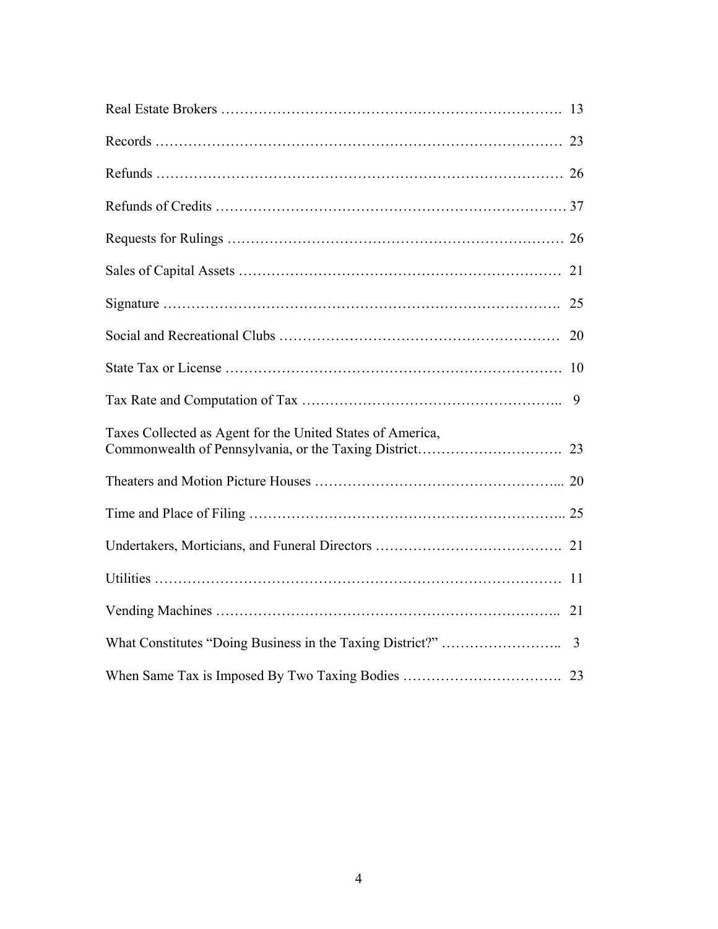|                                                            | 9 |
|------------------------------------------------------------|---|
| Taxes Collected as Agent for the United States of America, |   |
|                                                            |   |
|                                                            |   |
|                                                            |   |
|                                                            |   |
|                                                            |   |
|                                                            |   |
|                                                            |   |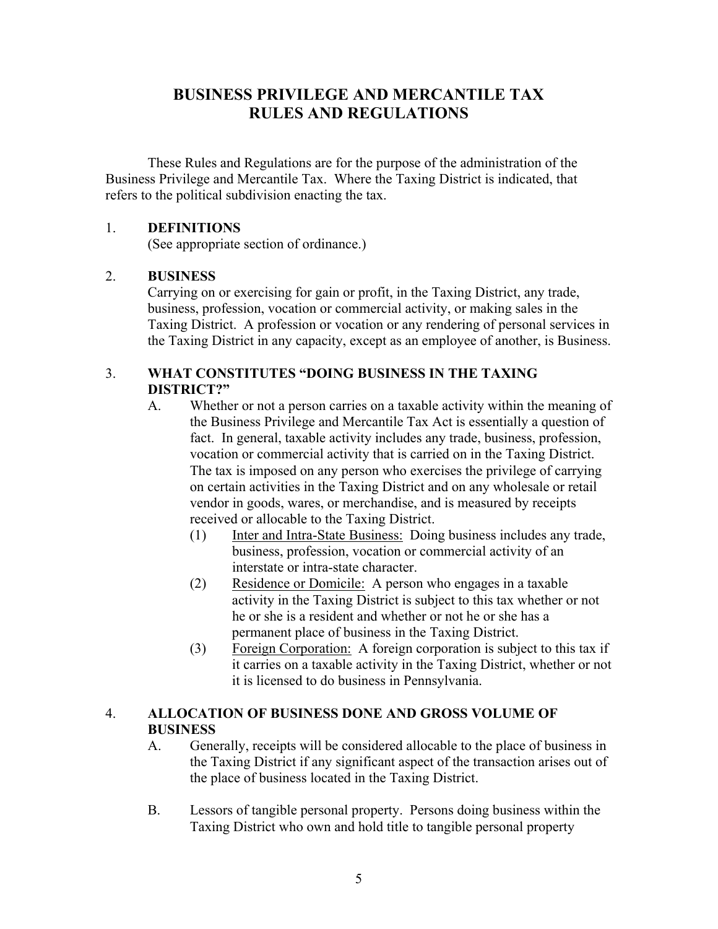## **BUSINESS PRIVILEGE AND MERCANTILE TAX RULES AND REGULATIONS**

These Rules and Regulations are for the purpose of the administration of the Business Privilege and Mercantile Tax. Where the Taxing District is indicated, that refers to the political subdivision enacting the tax.

#### 1. **DEFINITIONS**

(See appropriate section of ordinance.)

#### 2. **BUSINESS**

Carrying on or exercising for gain or profit, in the Taxing District, any trade, business, profession, vocation or commercial activity, or making sales in the Taxing District. A profession or vocation or any rendering of personal services in the Taxing District in any capacity, except as an employee of another, is Business.

## 3. **WHAT CONSTITUTES "DOING BUSINESS IN THE TAXING DISTRICT?"**

- A. Whether or not a person carries on a taxable activity within the meaning of the Business Privilege and Mercantile Tax Act is essentially a question of fact. In general, taxable activity includes any trade, business, profession, vocation or commercial activity that is carried on in the Taxing District. The tax is imposed on any person who exercises the privilege of carrying on certain activities in the Taxing District and on any wholesale or retail vendor in goods, wares, or merchandise, and is measured by receipts received or allocable to the Taxing District.
	- (1) Inter and Intra-State Business: Doing business includes any trade, business, profession, vocation or commercial activity of an interstate or intra-state character.
	- (2) Residence or Domicile: A person who engages in a taxable activity in the Taxing District is subject to this tax whether or not he or she is a resident and whether or not he or she has a permanent place of business in the Taxing District.
	- (3) Foreign Corporation: A foreign corporation is subject to this tax if it carries on a taxable activity in the Taxing District, whether or not it is licensed to do business in Pennsylvania.

## 4. **ALLOCATION OF BUSINESS DONE AND GROSS VOLUME OF BUSINESS**

- A. Generally, receipts will be considered allocable to the place of business in the Taxing District if any significant aspect of the transaction arises out of the place of business located in the Taxing District.
- B. Lessors of tangible personal property. Persons doing business within the Taxing District who own and hold title to tangible personal property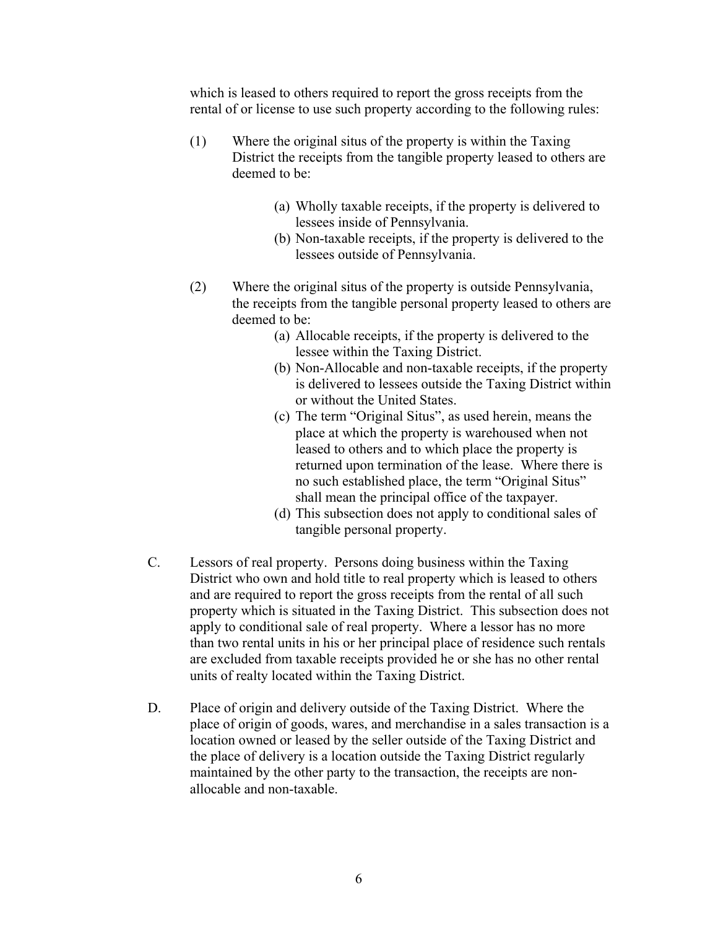which is leased to others required to report the gross receipts from the rental of or license to use such property according to the following rules:

- (1) Where the original situs of the property is within the Taxing District the receipts from the tangible property leased to others are deemed to be:
	- (a) Wholly taxable receipts, if the property is delivered to lessees inside of Pennsylvania.
	- (b) Non-taxable receipts, if the property is delivered to the lessees outside of Pennsylvania.
- (2) Where the original situs of the property is outside Pennsylvania, the receipts from the tangible personal property leased to others are deemed to be:
	- (a) Allocable receipts, if the property is delivered to the lessee within the Taxing District.
	- (b) Non-Allocable and non-taxable receipts, if the property is delivered to lessees outside the Taxing District within or without the United States.
	- (c) The term "Original Situs", as used herein, means the place at which the property is warehoused when not leased to others and to which place the property is returned upon termination of the lease. Where there is no such established place, the term "Original Situs" shall mean the principal office of the taxpayer.
	- (d) This subsection does not apply to conditional sales of tangible personal property.
- C. Lessors of real property. Persons doing business within the Taxing District who own and hold title to real property which is leased to others and are required to report the gross receipts from the rental of all such property which is situated in the Taxing District. This subsection does not apply to conditional sale of real property. Where a lessor has no more than two rental units in his or her principal place of residence such rentals are excluded from taxable receipts provided he or she has no other rental units of realty located within the Taxing District.
- D. Place of origin and delivery outside of the Taxing District. Where the place of origin of goods, wares, and merchandise in a sales transaction is a location owned or leased by the seller outside of the Taxing District and the place of delivery is a location outside the Taxing District regularly maintained by the other party to the transaction, the receipts are nonallocable and non-taxable.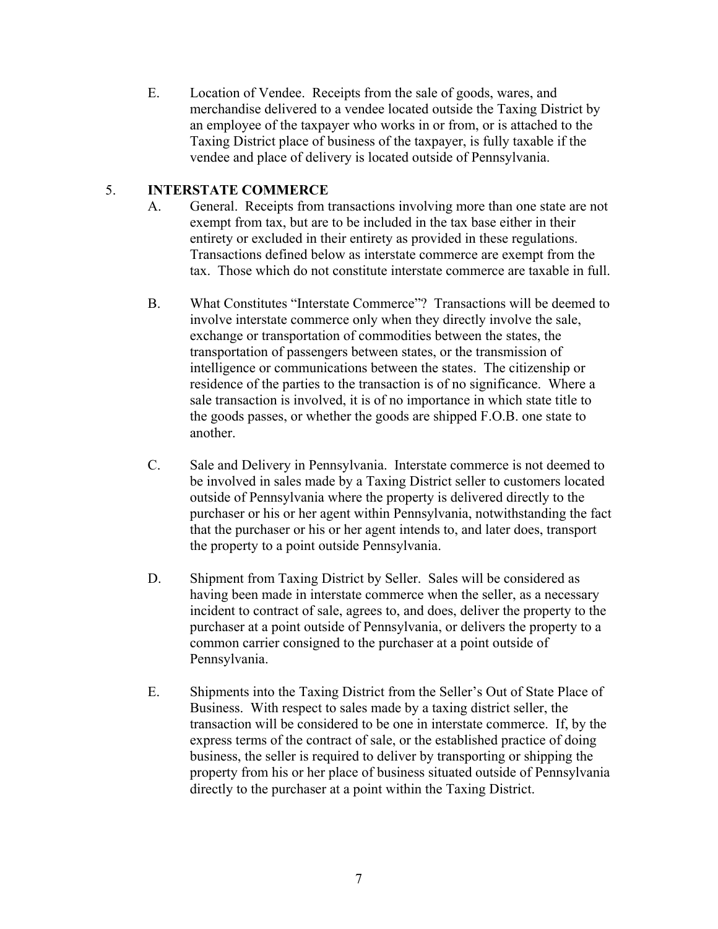E. Location of Vendee. Receipts from the sale of goods, wares, and merchandise delivered to a vendee located outside the Taxing District by an employee of the taxpayer who works in or from, or is attached to the Taxing District place of business of the taxpayer, is fully taxable if the vendee and place of delivery is located outside of Pennsylvania.

#### 5. **INTERSTATE COMMERCE**

- A. General. Receipts from transactions involving more than one state are not exempt from tax, but are to be included in the tax base either in their entirety or excluded in their entirety as provided in these regulations. Transactions defined below as interstate commerce are exempt from the tax. Those which do not constitute interstate commerce are taxable in full.
- B. What Constitutes "Interstate Commerce"? Transactions will be deemed to involve interstate commerce only when they directly involve the sale, exchange or transportation of commodities between the states, the transportation of passengers between states, or the transmission of intelligence or communications between the states. The citizenship or residence of the parties to the transaction is of no significance. Where a sale transaction is involved, it is of no importance in which state title to the goods passes, or whether the goods are shipped F.O.B. one state to another.
- C. Sale and Delivery in Pennsylvania. Interstate commerce is not deemed to be involved in sales made by a Taxing District seller to customers located outside of Pennsylvania where the property is delivered directly to the purchaser or his or her agent within Pennsylvania, notwithstanding the fact that the purchaser or his or her agent intends to, and later does, transport the property to a point outside Pennsylvania.
- D. Shipment from Taxing District by Seller. Sales will be considered as having been made in interstate commerce when the seller, as a necessary incident to contract of sale, agrees to, and does, deliver the property to the purchaser at a point outside of Pennsylvania, or delivers the property to a common carrier consigned to the purchaser at a point outside of Pennsylvania.
- E. Shipments into the Taxing District from the Seller's Out of State Place of Business. With respect to sales made by a taxing district seller, the transaction will be considered to be one in interstate commerce. If, by the express terms of the contract of sale, or the established practice of doing business, the seller is required to deliver by transporting or shipping the property from his or her place of business situated outside of Pennsylvania directly to the purchaser at a point within the Taxing District.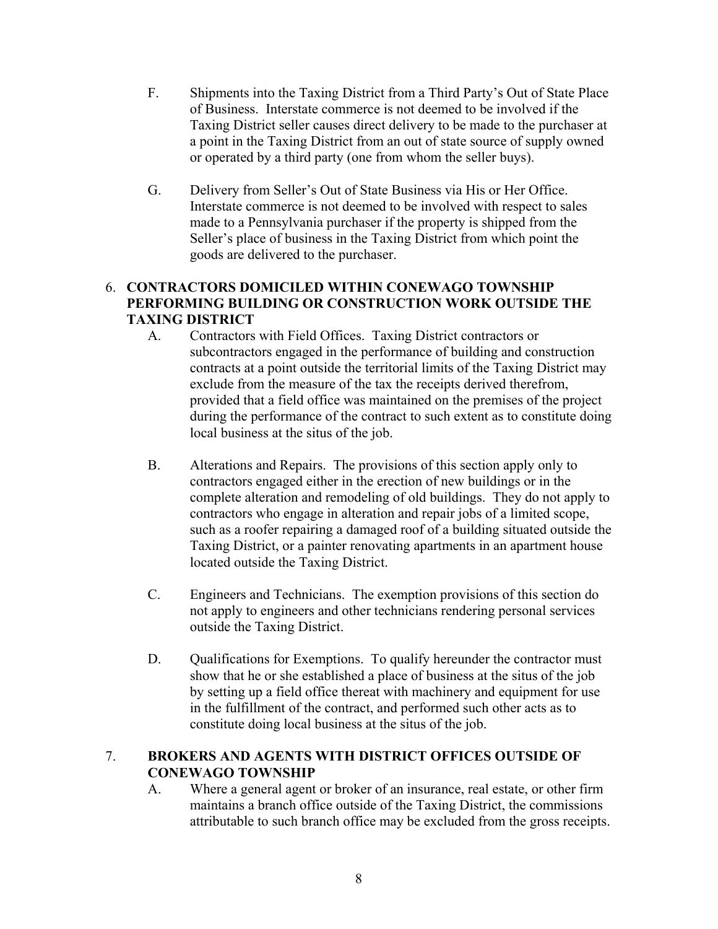- F. Shipments into the Taxing District from a Third Party's Out of State Place of Business. Interstate commerce is not deemed to be involved if the Taxing District seller causes direct delivery to be made to the purchaser at a point in the Taxing District from an out of state source of supply owned or operated by a third party (one from whom the seller buys).
- G. Delivery from Seller's Out of State Business via His or Her Office. Interstate commerce is not deemed to be involved with respect to sales made to a Pennsylvania purchaser if the property is shipped from the Seller's place of business in the Taxing District from which point the goods are delivered to the purchaser.

## 6. **CONTRACTORS DOMICILED WITHIN CONEWAGO TOWNSHIP PERFORMING BUILDING OR CONSTRUCTION WORK OUTSIDE THE TAXING DISTRICT**

- A. Contractors with Field Offices. Taxing District contractors or subcontractors engaged in the performance of building and construction contracts at a point outside the territorial limits of the Taxing District may exclude from the measure of the tax the receipts derived therefrom, provided that a field office was maintained on the premises of the project during the performance of the contract to such extent as to constitute doing local business at the situs of the job.
- B. Alterations and Repairs. The provisions of this section apply only to contractors engaged either in the erection of new buildings or in the complete alteration and remodeling of old buildings. They do not apply to contractors who engage in alteration and repair jobs of a limited scope, such as a roofer repairing a damaged roof of a building situated outside the Taxing District, or a painter renovating apartments in an apartment house located outside the Taxing District.
- C. Engineers and Technicians. The exemption provisions of this section do not apply to engineers and other technicians rendering personal services outside the Taxing District.
- D. Qualifications for Exemptions. To qualify hereunder the contractor must show that he or she established a place of business at the situs of the job by setting up a field office thereat with machinery and equipment for use in the fulfillment of the contract, and performed such other acts as to constitute doing local business at the situs of the job.

## 7. **BROKERS AND AGENTS WITH DISTRICT OFFICES OUTSIDE OF CONEWAGO TOWNSHIP**

A. Where a general agent or broker of an insurance, real estate, or other firm maintains a branch office outside of the Taxing District, the commissions attributable to such branch office may be excluded from the gross receipts.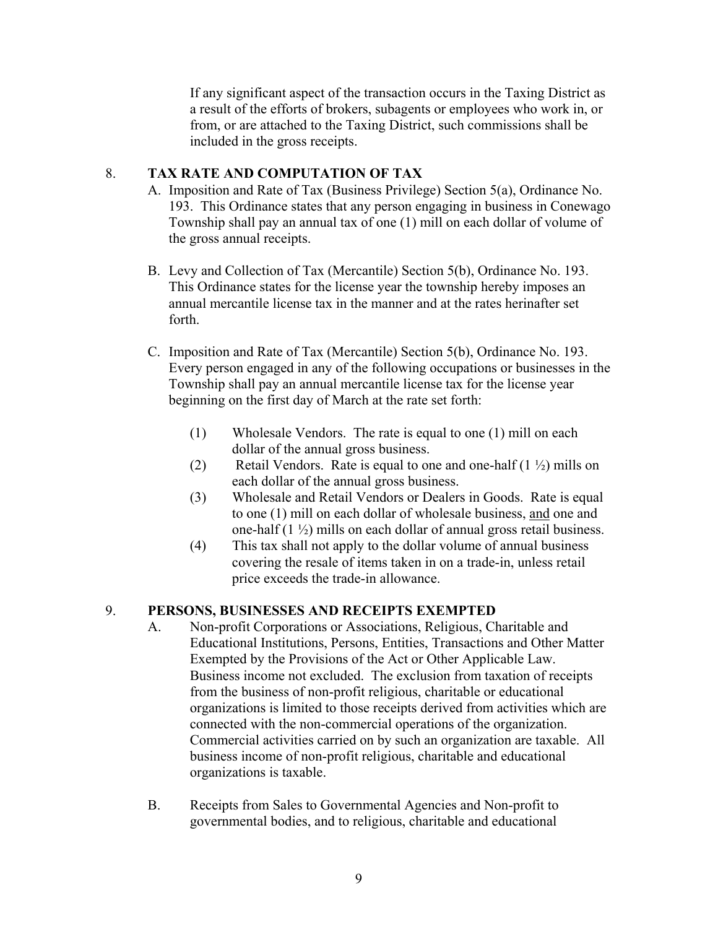If any significant aspect of the transaction occurs in the Taxing District as a result of the efforts of brokers, subagents or employees who work in, or from, or are attached to the Taxing District, such commissions shall be included in the gross receipts.

## 8. **TAX RATE AND COMPUTATION OF TAX**

- A. Imposition and Rate of Tax (Business Privilege) Section 5(a), Ordinance No. 193. This Ordinance states that any person engaging in business in Conewago Township shall pay an annual tax of one (1) mill on each dollar of volume of the gross annual receipts.
- B. Levy and Collection of Tax (Mercantile) Section 5(b), Ordinance No. 193. This Ordinance states for the license year the township hereby imposes an annual mercantile license tax in the manner and at the rates herinafter set forth.
- C. Imposition and Rate of Tax (Mercantile) Section 5(b), Ordinance No. 193. Every person engaged in any of the following occupations or businesses in the Township shall pay an annual mercantile license tax for the license year beginning on the first day of March at the rate set forth:
	- (1) Wholesale Vendors. The rate is equal to one (1) mill on each dollar of the annual gross business.
	- (2) Retail Vendors. Rate is equal to one and one-half  $(1 \frac{1}{2})$  mills on each dollar of the annual gross business.
	- (3) Wholesale and Retail Vendors or Dealers in Goods. Rate is equal to one (1) mill on each dollar of wholesale business, and one and one-half (1 ½) mills on each dollar of annual gross retail business.
	- (4) This tax shall not apply to the dollar volume of annual business covering the resale of items taken in on a trade-in, unless retail price exceeds the trade-in allowance.

#### 9. **PERSONS, BUSINESSES AND RECEIPTS EXEMPTED**

- A. Non-profit Corporations or Associations, Religious, Charitable and Educational Institutions, Persons, Entities, Transactions and Other Matter Exempted by the Provisions of the Act or Other Applicable Law. Business income not excluded. The exclusion from taxation of receipts from the business of non-profit religious, charitable or educational organizations is limited to those receipts derived from activities which are connected with the non-commercial operations of the organization. Commercial activities carried on by such an organization are taxable. All business income of non-profit religious, charitable and educational organizations is taxable.
- B. Receipts from Sales to Governmental Agencies and Non-profit to governmental bodies, and to religious, charitable and educational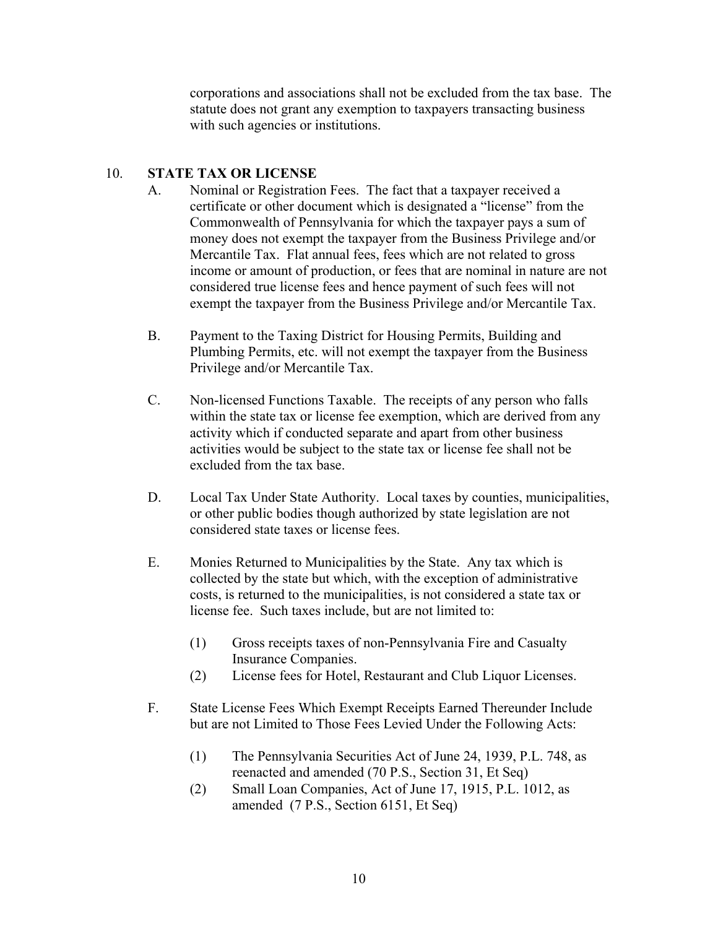corporations and associations shall not be excluded from the tax base. The statute does not grant any exemption to taxpayers transacting business with such agencies or institutions.

## 10. **STATE TAX OR LICENSE**

- A. Nominal or Registration Fees. The fact that a taxpayer received a certificate or other document which is designated a "license" from the Commonwealth of Pennsylvania for which the taxpayer pays a sum of money does not exempt the taxpayer from the Business Privilege and/or Mercantile Tax. Flat annual fees, fees which are not related to gross income or amount of production, or fees that are nominal in nature are not considered true license fees and hence payment of such fees will not exempt the taxpayer from the Business Privilege and/or Mercantile Tax.
- B. Payment to the Taxing District for Housing Permits, Building and Plumbing Permits, etc. will not exempt the taxpayer from the Business Privilege and/or Mercantile Tax.
- C. Non-licensed Functions Taxable. The receipts of any person who falls within the state tax or license fee exemption, which are derived from any activity which if conducted separate and apart from other business activities would be subject to the state tax or license fee shall not be excluded from the tax base.
- D. Local Tax Under State Authority. Local taxes by counties, municipalities, or other public bodies though authorized by state legislation are not considered state taxes or license fees.
- E. Monies Returned to Municipalities by the State. Any tax which is collected by the state but which, with the exception of administrative costs, is returned to the municipalities, is not considered a state tax or license fee. Such taxes include, but are not limited to:
	- (1) Gross receipts taxes of non-Pennsylvania Fire and Casualty Insurance Companies.
	- (2) License fees for Hotel, Restaurant and Club Liquor Licenses.
- F. State License Fees Which Exempt Receipts Earned Thereunder Include but are not Limited to Those Fees Levied Under the Following Acts:
	- (1) The Pennsylvania Securities Act of June 24, 1939, P.L. 748, as reenacted and amended (70 P.S., Section 31, Et Seq)
	- (2) Small Loan Companies, Act of June 17, 1915, P.L. 1012, as amended (7 P.S., Section 6151, Et Seq)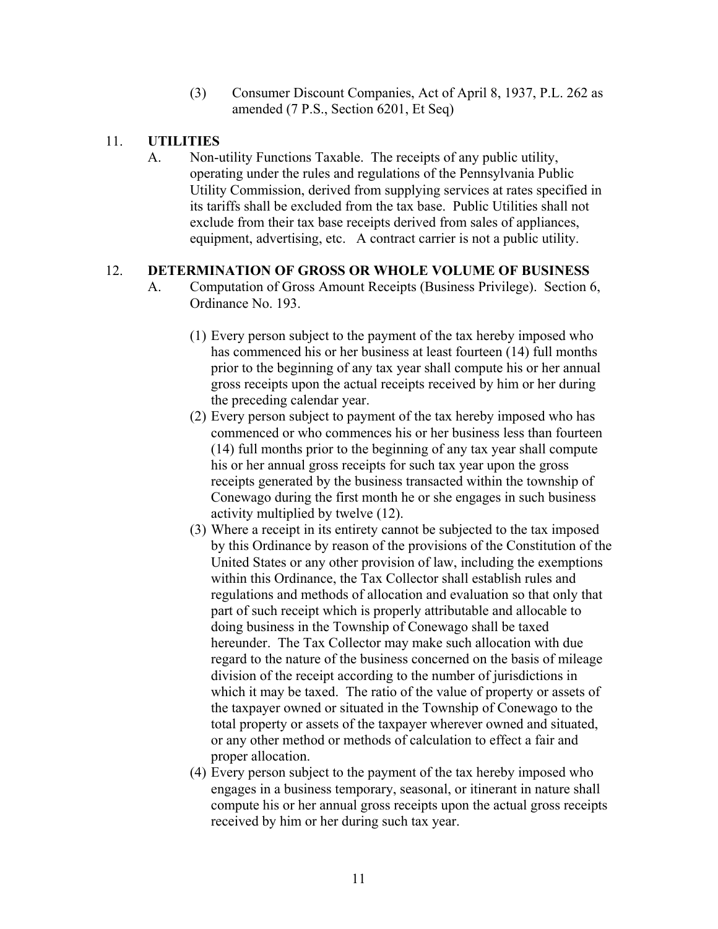(3) Consumer Discount Companies, Act of April 8, 1937, P.L. 262 as amended (7 P.S., Section 6201, Et Seq)

#### 11. **UTILITIES**

A. Non-utility Functions Taxable. The receipts of any public utility, operating under the rules and regulations of the Pennsylvania Public Utility Commission, derived from supplying services at rates specified in its tariffs shall be excluded from the tax base. Public Utilities shall not exclude from their tax base receipts derived from sales of appliances, equipment, advertising, etc. A contract carrier is not a public utility.

#### 12. **DETERMINATION OF GROSS OR WHOLE VOLUME OF BUSINESS**

- A. Computation of Gross Amount Receipts (Business Privilege). Section 6, Ordinance No. 193.
	- (1) Every person subject to the payment of the tax hereby imposed who has commenced his or her business at least fourteen (14) full months prior to the beginning of any tax year shall compute his or her annual gross receipts upon the actual receipts received by him or her during the preceding calendar year.
	- (2) Every person subject to payment of the tax hereby imposed who has commenced or who commences his or her business less than fourteen (14) full months prior to the beginning of any tax year shall compute his or her annual gross receipts for such tax year upon the gross receipts generated by the business transacted within the township of Conewago during the first month he or she engages in such business activity multiplied by twelve (12).
	- (3) Where a receipt in its entirety cannot be subjected to the tax imposed by this Ordinance by reason of the provisions of the Constitution of the United States or any other provision of law, including the exemptions within this Ordinance, the Tax Collector shall establish rules and regulations and methods of allocation and evaluation so that only that part of such receipt which is properly attributable and allocable to doing business in the Township of Conewago shall be taxed hereunder. The Tax Collector may make such allocation with due regard to the nature of the business concerned on the basis of mileage division of the receipt according to the number of jurisdictions in which it may be taxed. The ratio of the value of property or assets of the taxpayer owned or situated in the Township of Conewago to the total property or assets of the taxpayer wherever owned and situated, or any other method or methods of calculation to effect a fair and proper allocation.
	- (4) Every person subject to the payment of the tax hereby imposed who engages in a business temporary, seasonal, or itinerant in nature shall compute his or her annual gross receipts upon the actual gross receipts received by him or her during such tax year.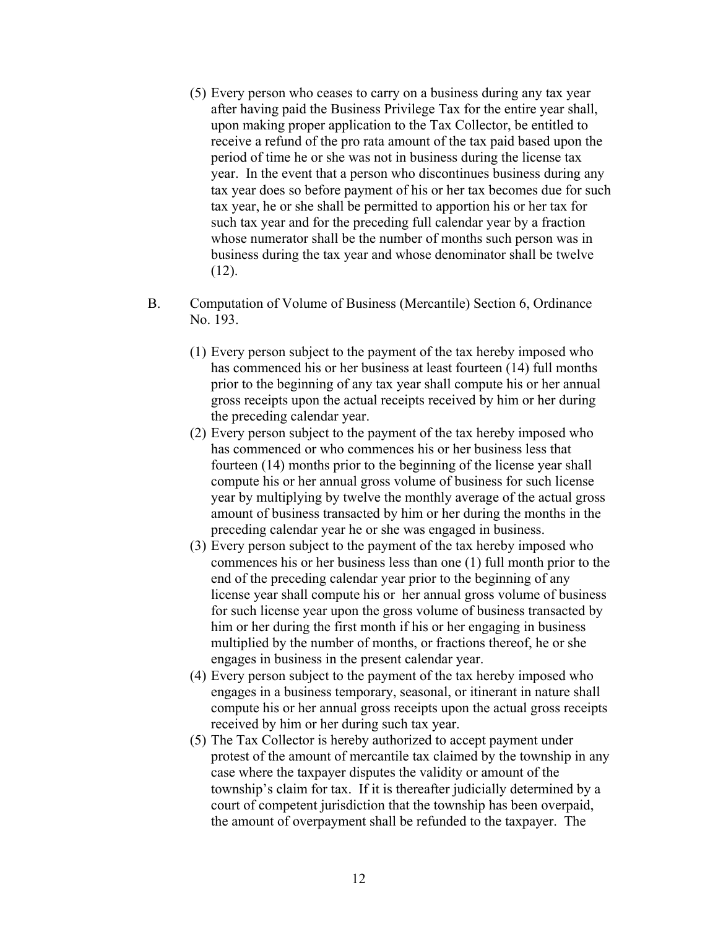- (5) Every person who ceases to carry on a business during any tax year after having paid the Business Privilege Tax for the entire year shall, upon making proper application to the Tax Collector, be entitled to receive a refund of the pro rata amount of the tax paid based upon the period of time he or she was not in business during the license tax year. In the event that a person who discontinues business during any tax year does so before payment of his or her tax becomes due for such tax year, he or she shall be permitted to apportion his or her tax for such tax year and for the preceding full calendar year by a fraction whose numerator shall be the number of months such person was in business during the tax year and whose denominator shall be twelve  $(12)$ .
- B. Computation of Volume of Business (Mercantile) Section 6, Ordinance No. 193.
	- (1) Every person subject to the payment of the tax hereby imposed who has commenced his or her business at least fourteen (14) full months prior to the beginning of any tax year shall compute his or her annual gross receipts upon the actual receipts received by him or her during the preceding calendar year.
	- (2) Every person subject to the payment of the tax hereby imposed who has commenced or who commences his or her business less that fourteen (14) months prior to the beginning of the license year shall compute his or her annual gross volume of business for such license year by multiplying by twelve the monthly average of the actual gross amount of business transacted by him or her during the months in the preceding calendar year he or she was engaged in business.
	- (3) Every person subject to the payment of the tax hereby imposed who commences his or her business less than one (1) full month prior to the end of the preceding calendar year prior to the beginning of any license year shall compute his or her annual gross volume of business for such license year upon the gross volume of business transacted by him or her during the first month if his or her engaging in business multiplied by the number of months, or fractions thereof, he or she engages in business in the present calendar year.
	- (4) Every person subject to the payment of the tax hereby imposed who engages in a business temporary, seasonal, or itinerant in nature shall compute his or her annual gross receipts upon the actual gross receipts received by him or her during such tax year.
	- (5) The Tax Collector is hereby authorized to accept payment under protest of the amount of mercantile tax claimed by the township in any case where the taxpayer disputes the validity or amount of the township's claim for tax. If it is thereafter judicially determined by a court of competent jurisdiction that the township has been overpaid, the amount of overpayment shall be refunded to the taxpayer. The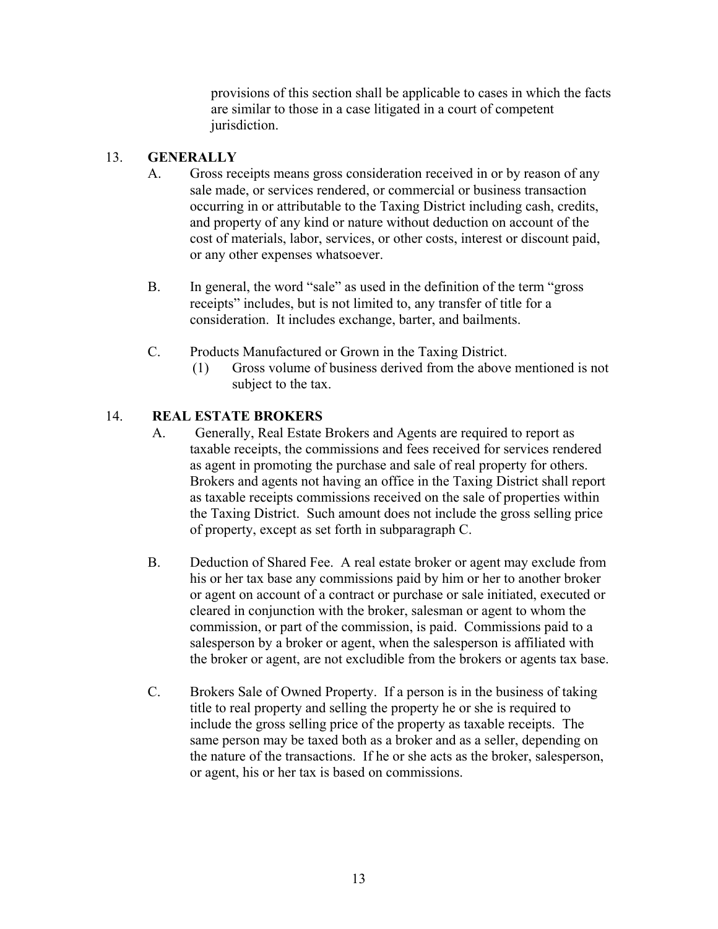provisions of this section shall be applicable to cases in which the facts are similar to those in a case litigated in a court of competent jurisdiction.

## 13. **GENERALLY**

- A. Gross receipts means gross consideration received in or by reason of any sale made, or services rendered, or commercial or business transaction occurring in or attributable to the Taxing District including cash, credits, and property of any kind or nature without deduction on account of the cost of materials, labor, services, or other costs, interest or discount paid, or any other expenses whatsoever.
- B. In general, the word "sale" as used in the definition of the term "gross receipts" includes, but is not limited to, any transfer of title for a consideration. It includes exchange, barter, and bailments.
- C. Products Manufactured or Grown in the Taxing District.
	- (1) Gross volume of business derived from the above mentioned is not subject to the tax.

## 14. **REAL ESTATE BROKERS**

- A. Generally, Real Estate Brokers and Agents are required to report as taxable receipts, the commissions and fees received for services rendered as agent in promoting the purchase and sale of real property for others. Brokers and agents not having an office in the Taxing District shall report as taxable receipts commissions received on the sale of properties within the Taxing District. Such amount does not include the gross selling price of property, except as set forth in subparagraph C.
- B. Deduction of Shared Fee. A real estate broker or agent may exclude from his or her tax base any commissions paid by him or her to another broker or agent on account of a contract or purchase or sale initiated, executed or cleared in conjunction with the broker, salesman or agent to whom the commission, or part of the commission, is paid. Commissions paid to a salesperson by a broker or agent, when the salesperson is affiliated with the broker or agent, are not excludible from the brokers or agents tax base.
- C. Brokers Sale of Owned Property. If a person is in the business of taking title to real property and selling the property he or she is required to include the gross selling price of the property as taxable receipts. The same person may be taxed both as a broker and as a seller, depending on the nature of the transactions. If he or she acts as the broker, salesperson, or agent, his or her tax is based on commissions.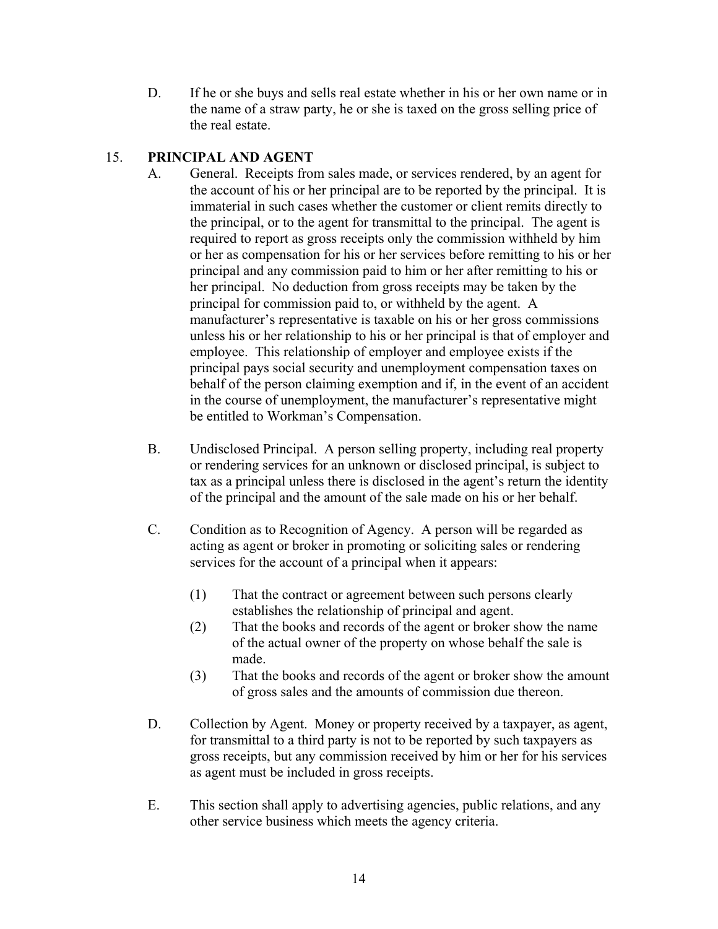D. If he or she buys and sells real estate whether in his or her own name or in the name of a straw party, he or she is taxed on the gross selling price of the real estate.

## 15. **PRINCIPAL AND AGENT**

- A. General. Receipts from sales made, or services rendered, by an agent for the account of his or her principal are to be reported by the principal. It is immaterial in such cases whether the customer or client remits directly to the principal, or to the agent for transmittal to the principal. The agent is required to report as gross receipts only the commission withheld by him or her as compensation for his or her services before remitting to his or her principal and any commission paid to him or her after remitting to his or her principal. No deduction from gross receipts may be taken by the principal for commission paid to, or withheld by the agent. A manufacturer's representative is taxable on his or her gross commissions unless his or her relationship to his or her principal is that of employer and employee. This relationship of employer and employee exists if the principal pays social security and unemployment compensation taxes on behalf of the person claiming exemption and if, in the event of an accident in the course of unemployment, the manufacturer's representative might be entitled to Workman's Compensation.
- B. Undisclosed Principal. A person selling property, including real property or rendering services for an unknown or disclosed principal, is subject to tax as a principal unless there is disclosed in the agent's return the identity of the principal and the amount of the sale made on his or her behalf.
- C. Condition as to Recognition of Agency. A person will be regarded as acting as agent or broker in promoting or soliciting sales or rendering services for the account of a principal when it appears:
	- (1) That the contract or agreement between such persons clearly establishes the relationship of principal and agent.
	- (2) That the books and records of the agent or broker show the name of the actual owner of the property on whose behalf the sale is made.
	- (3) That the books and records of the agent or broker show the amount of gross sales and the amounts of commission due thereon.
- D. Collection by Agent. Money or property received by a taxpayer, as agent, for transmittal to a third party is not to be reported by such taxpayers as gross receipts, but any commission received by him or her for his services as agent must be included in gross receipts.
- E. This section shall apply to advertising agencies, public relations, and any other service business which meets the agency criteria.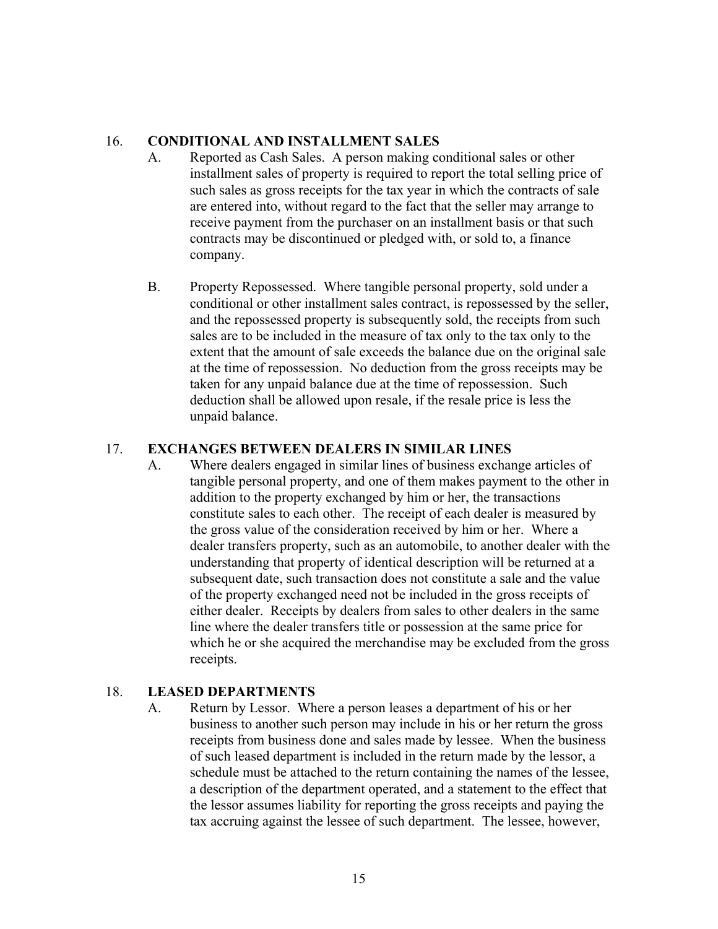#### 16. **CONDITIONAL AND INSTALLMENT SALES**

- A. Reported as Cash Sales. A person making conditional sales or other installment sales of property is required to report the total selling price of such sales as gross receipts for the tax year in which the contracts of sale are entered into, without regard to the fact that the seller may arrange to receive payment from the purchaser on an installment basis or that such contracts may be discontinued or pledged with, or sold to, a finance company.
- B. Property Repossessed. Where tangible personal property, sold under a conditional or other installment sales contract, is repossessed by the seller, and the repossessed property is subsequently sold, the receipts from such sales are to be included in the measure of tax only to the tax only to the extent that the amount of sale exceeds the balance due on the original sale at the time of repossession. No deduction from the gross receipts may be taken for any unpaid balance due at the time of repossession. Such deduction shall be allowed upon resale, if the resale price is less the unpaid balance.

#### 17. **EXCHANGES BETWEEN DEALERS IN SIMILAR LINES**

A. Where dealers engaged in similar lines of business exchange articles of tangible personal property, and one of them makes payment to the other in addition to the property exchanged by him or her, the transactions constitute sales to each other. The receipt of each dealer is measured by the gross value of the consideration received by him or her. Where a dealer transfers property, such as an automobile, to another dealer with the understanding that property of identical description will be returned at a subsequent date, such transaction does not constitute a sale and the value of the property exchanged need not be included in the gross receipts of either dealer. Receipts by dealers from sales to other dealers in the same line where the dealer transfers title or possession at the same price for which he or she acquired the merchandise may be excluded from the gross receipts.

## 18. **LEASED DEPARTMENTS**

A. Return by Lessor. Where a person leases a department of his or her business to another such person may include in his or her return the gross receipts from business done and sales made by lessee. When the business of such leased department is included in the return made by the lessor, a schedule must be attached to the return containing the names of the lessee, a description of the department operated, and a statement to the effect that the lessor assumes liability for reporting the gross receipts and paying the tax accruing against the lessee of such department. The lessee, however,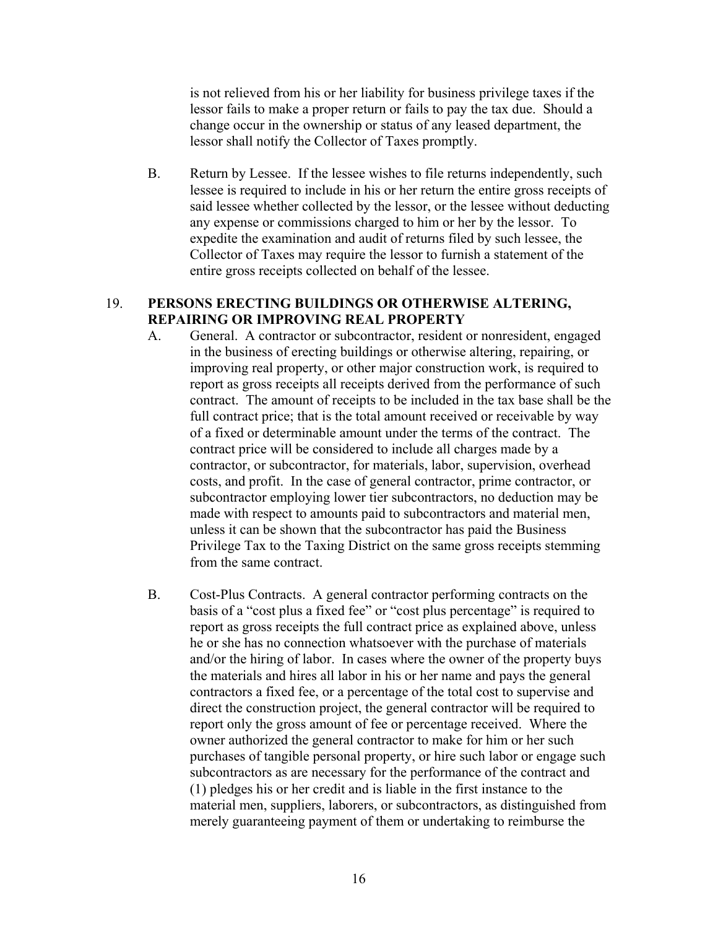is not relieved from his or her liability for business privilege taxes if the lessor fails to make a proper return or fails to pay the tax due. Should a change occur in the ownership or status of any leased department, the lessor shall notify the Collector of Taxes promptly.

B. Return by Lessee. If the lessee wishes to file returns independently, such lessee is required to include in his or her return the entire gross receipts of said lessee whether collected by the lessor, or the lessee without deducting any expense or commissions charged to him or her by the lessor. To expedite the examination and audit of returns filed by such lessee, the Collector of Taxes may require the lessor to furnish a statement of the entire gross receipts collected on behalf of the lessee.

#### 19. **PERSONS ERECTING BUILDINGS OR OTHERWISE ALTERING, REPAIRING OR IMPROVING REAL PROPERTY**

- A. General. A contractor or subcontractor, resident or nonresident, engaged in the business of erecting buildings or otherwise altering, repairing, or improving real property, or other major construction work, is required to report as gross receipts all receipts derived from the performance of such contract. The amount of receipts to be included in the tax base shall be the full contract price; that is the total amount received or receivable by way of a fixed or determinable amount under the terms of the contract. The contract price will be considered to include all charges made by a contractor, or subcontractor, for materials, labor, supervision, overhead costs, and profit. In the case of general contractor, prime contractor, or subcontractor employing lower tier subcontractors, no deduction may be made with respect to amounts paid to subcontractors and material men, unless it can be shown that the subcontractor has paid the Business Privilege Tax to the Taxing District on the same gross receipts stemming from the same contract.
- B. Cost-Plus Contracts. A general contractor performing contracts on the basis of a "cost plus a fixed fee" or "cost plus percentage" is required to report as gross receipts the full contract price as explained above, unless he or she has no connection whatsoever with the purchase of materials and/or the hiring of labor. In cases where the owner of the property buys the materials and hires all labor in his or her name and pays the general contractors a fixed fee, or a percentage of the total cost to supervise and direct the construction project, the general contractor will be required to report only the gross amount of fee or percentage received. Where the owner authorized the general contractor to make for him or her such purchases of tangible personal property, or hire such labor or engage such subcontractors as are necessary for the performance of the contract and (1) pledges his or her credit and is liable in the first instance to the material men, suppliers, laborers, or subcontractors, as distinguished from merely guaranteeing payment of them or undertaking to reimburse the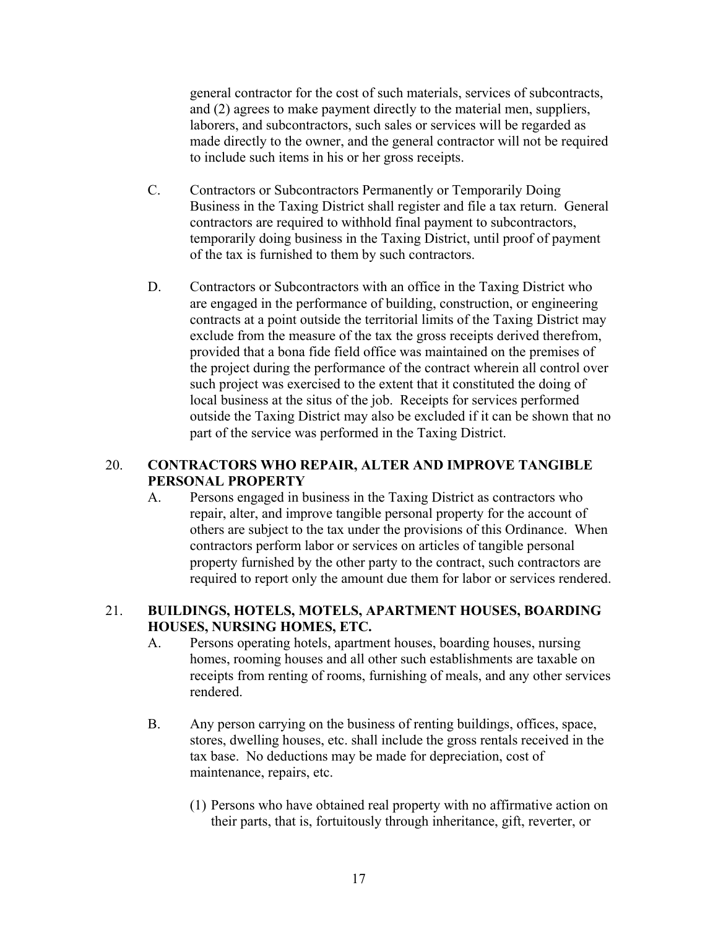general contractor for the cost of such materials, services of subcontracts, and (2) agrees to make payment directly to the material men, suppliers, laborers, and subcontractors, such sales or services will be regarded as made directly to the owner, and the general contractor will not be required to include such items in his or her gross receipts.

- C. Contractors or Subcontractors Permanently or Temporarily Doing Business in the Taxing District shall register and file a tax return. General contractors are required to withhold final payment to subcontractors, temporarily doing business in the Taxing District, until proof of payment of the tax is furnished to them by such contractors.
- D. Contractors or Subcontractors with an office in the Taxing District who are engaged in the performance of building, construction, or engineering contracts at a point outside the territorial limits of the Taxing District may exclude from the measure of the tax the gross receipts derived therefrom, provided that a bona fide field office was maintained on the premises of the project during the performance of the contract wherein all control over such project was exercised to the extent that it constituted the doing of local business at the situs of the job. Receipts for services performed outside the Taxing District may also be excluded if it can be shown that no part of the service was performed in the Taxing District.

#### 20. **CONTRACTORS WHO REPAIR, ALTER AND IMPROVE TANGIBLE PERSONAL PROPERTY**

A. Persons engaged in business in the Taxing District as contractors who repair, alter, and improve tangible personal property for the account of others are subject to the tax under the provisions of this Ordinance. When contractors perform labor or services on articles of tangible personal property furnished by the other party to the contract, such contractors are required to report only the amount due them for labor or services rendered.

#### 21. **BUILDINGS, HOTELS, MOTELS, APARTMENT HOUSES, BOARDING HOUSES, NURSING HOMES, ETC.**

- A. Persons operating hotels, apartment houses, boarding houses, nursing homes, rooming houses and all other such establishments are taxable on receipts from renting of rooms, furnishing of meals, and any other services rendered.
- B. Any person carrying on the business of renting buildings, offices, space, stores, dwelling houses, etc. shall include the gross rentals received in the tax base. No deductions may be made for depreciation, cost of maintenance, repairs, etc.
	- (1) Persons who have obtained real property with no affirmative action on their parts, that is, fortuitously through inheritance, gift, reverter, or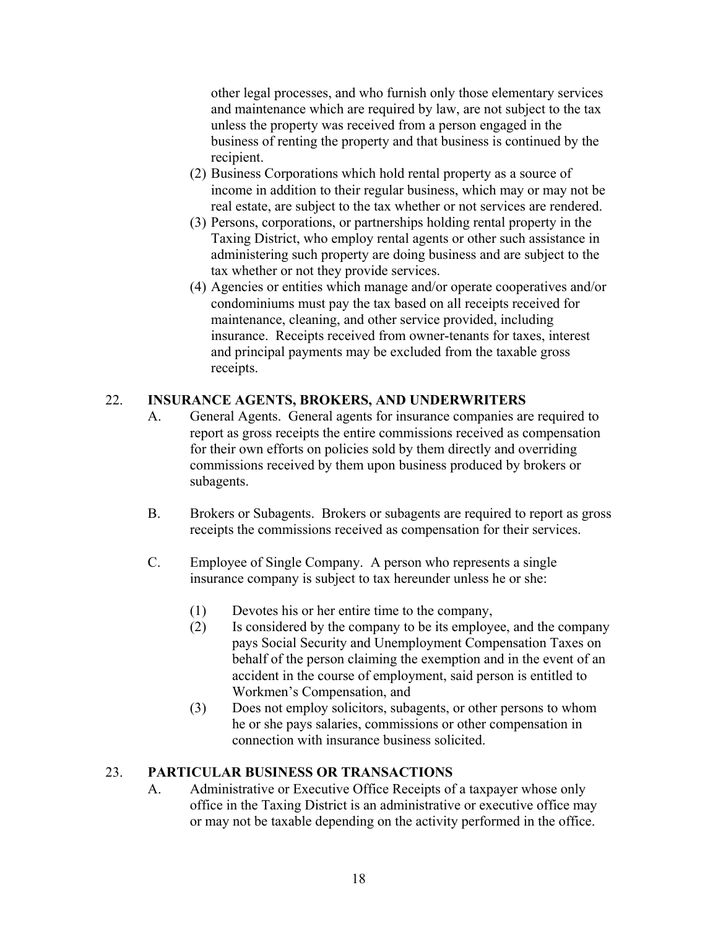other legal processes, and who furnish only those elementary services and maintenance which are required by law, are not subject to the tax unless the property was received from a person engaged in the business of renting the property and that business is continued by the recipient.

- (2) Business Corporations which hold rental property as a source of income in addition to their regular business, which may or may not be real estate, are subject to the tax whether or not services are rendered.
- (3) Persons, corporations, or partnerships holding rental property in the Taxing District, who employ rental agents or other such assistance in administering such property are doing business and are subject to the tax whether or not they provide services.
- (4) Agencies or entities which manage and/or operate cooperatives and/or condominiums must pay the tax based on all receipts received for maintenance, cleaning, and other service provided, including insurance. Receipts received from owner-tenants for taxes, interest and principal payments may be excluded from the taxable gross receipts.

## 22. **INSURANCE AGENTS, BROKERS, AND UNDERWRITERS**

- A. General Agents. General agents for insurance companies are required to report as gross receipts the entire commissions received as compensation for their own efforts on policies sold by them directly and overriding commissions received by them upon business produced by brokers or subagents.
- B. Brokers or Subagents. Brokers or subagents are required to report as gross receipts the commissions received as compensation for their services.
- C. Employee of Single Company. A person who represents a single insurance company is subject to tax hereunder unless he or she:
	- (1) Devotes his or her entire time to the company,
	- (2) Is considered by the company to be its employee, and the company pays Social Security and Unemployment Compensation Taxes on behalf of the person claiming the exemption and in the event of an accident in the course of employment, said person is entitled to Workmen's Compensation, and
	- (3) Does not employ solicitors, subagents, or other persons to whom he or she pays salaries, commissions or other compensation in connection with insurance business solicited.

#### 23. **PARTICULAR BUSINESS OR TRANSACTIONS**

A. Administrative or Executive Office Receipts of a taxpayer whose only office in the Taxing District is an administrative or executive office may or may not be taxable depending on the activity performed in the office.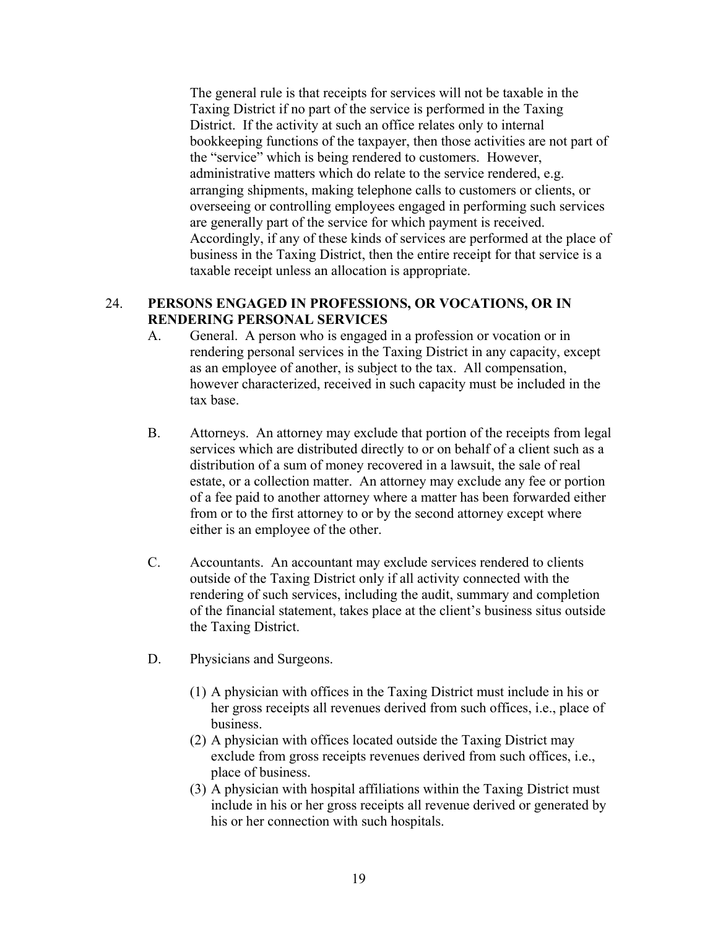The general rule is that receipts for services will not be taxable in the Taxing District if no part of the service is performed in the Taxing District. If the activity at such an office relates only to internal bookkeeping functions of the taxpayer, then those activities are not part of the "service" which is being rendered to customers. However, administrative matters which do relate to the service rendered, e.g. arranging shipments, making telephone calls to customers or clients, or overseeing or controlling employees engaged in performing such services are generally part of the service for which payment is received. Accordingly, if any of these kinds of services are performed at the place of business in the Taxing District, then the entire receipt for that service is a taxable receipt unless an allocation is appropriate.

#### 24. **PERSONS ENGAGED IN PROFESSIONS, OR VOCATIONS, OR IN RENDERING PERSONAL SERVICES**

- A. General. A person who is engaged in a profession or vocation or in rendering personal services in the Taxing District in any capacity, except as an employee of another, is subject to the tax. All compensation, however characterized, received in such capacity must be included in the tax base.
- B. Attorneys. An attorney may exclude that portion of the receipts from legal services which are distributed directly to or on behalf of a client such as a distribution of a sum of money recovered in a lawsuit, the sale of real estate, or a collection matter. An attorney may exclude any fee or portion of a fee paid to another attorney where a matter has been forwarded either from or to the first attorney to or by the second attorney except where either is an employee of the other.
- C. Accountants. An accountant may exclude services rendered to clients outside of the Taxing District only if all activity connected with the rendering of such services, including the audit, summary and completion of the financial statement, takes place at the client's business situs outside the Taxing District.
- D. Physicians and Surgeons.
	- (1) A physician with offices in the Taxing District must include in his or her gross receipts all revenues derived from such offices, i.e., place of business.
	- (2) A physician with offices located outside the Taxing District may exclude from gross receipts revenues derived from such offices, i.e., place of business.
	- (3) A physician with hospital affiliations within the Taxing District must include in his or her gross receipts all revenue derived or generated by his or her connection with such hospitals.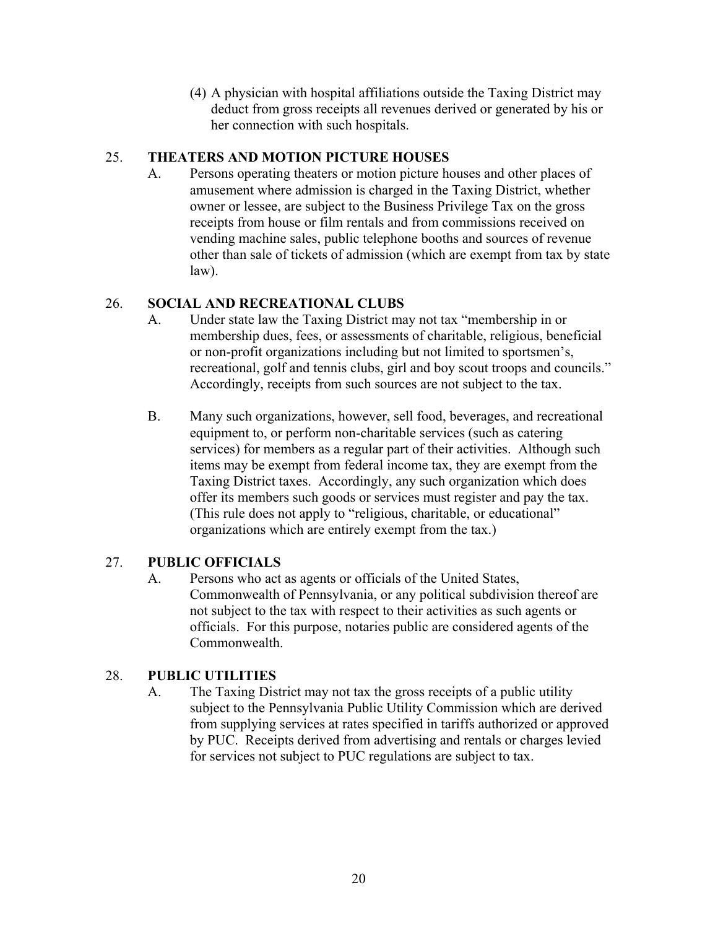(4) A physician with hospital affiliations outside the Taxing District may deduct from gross receipts all revenues derived or generated by his or her connection with such hospitals.

## 25. **THEATERS AND MOTION PICTURE HOUSES**

A. Persons operating theaters or motion picture houses and other places of amusement where admission is charged in the Taxing District, whether owner or lessee, are subject to the Business Privilege Tax on the gross receipts from house or film rentals and from commissions received on vending machine sales, public telephone booths and sources of revenue other than sale of tickets of admission (which are exempt from tax by state law).

## 26. **SOCIAL AND RECREATIONAL CLUBS**

- A. Under state law the Taxing District may not tax "membership in or membership dues, fees, or assessments of charitable, religious, beneficial or non-profit organizations including but not limited to sportsmen's, recreational, golf and tennis clubs, girl and boy scout troops and councils." Accordingly, receipts from such sources are not subject to the tax.
- B. Many such organizations, however, sell food, beverages, and recreational equipment to, or perform non-charitable services (such as catering services) for members as a regular part of their activities. Although such items may be exempt from federal income tax, they are exempt from the Taxing District taxes. Accordingly, any such organization which does offer its members such goods or services must register and pay the tax. (This rule does not apply to "religious, charitable, or educational" organizations which are entirely exempt from the tax.)

## 27. **PUBLIC OFFICIALS**

A. Persons who act as agents or officials of the United States, Commonwealth of Pennsylvania, or any political subdivision thereof are not subject to the tax with respect to their activities as such agents or officials. For this purpose, notaries public are considered agents of the Commonwealth.

## 28. **PUBLIC UTILITIES**

A. The Taxing District may not tax the gross receipts of a public utility subject to the Pennsylvania Public Utility Commission which are derived from supplying services at rates specified in tariffs authorized or approved by PUC. Receipts derived from advertising and rentals or charges levied for services not subject to PUC regulations are subject to tax.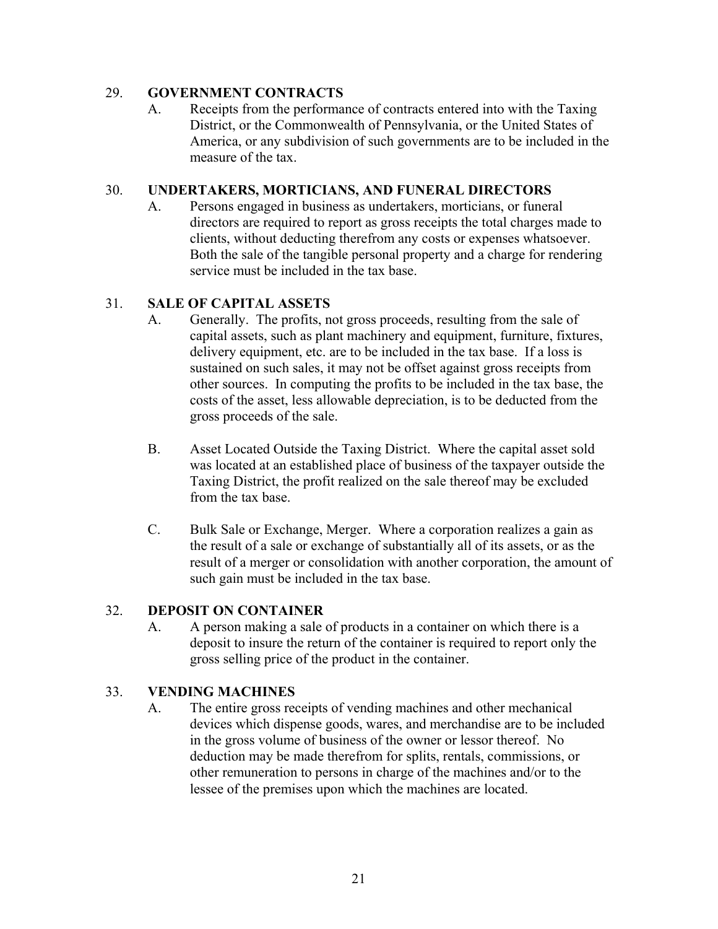## 29. **GOVERNMENT CONTRACTS**

A. Receipts from the performance of contracts entered into with the Taxing District, or the Commonwealth of Pennsylvania, or the United States of America, or any subdivision of such governments are to be included in the measure of the tax.

## 30. **UNDERTAKERS, MORTICIANS, AND FUNERAL DIRECTORS**

A. Persons engaged in business as undertakers, morticians, or funeral directors are required to report as gross receipts the total charges made to clients, without deducting therefrom any costs or expenses whatsoever. Both the sale of the tangible personal property and a charge for rendering service must be included in the tax base.

## 31. **SALE OF CAPITAL ASSETS**

- A. Generally. The profits, not gross proceeds, resulting from the sale of capital assets, such as plant machinery and equipment, furniture, fixtures, delivery equipment, etc. are to be included in the tax base. If a loss is sustained on such sales, it may not be offset against gross receipts from other sources. In computing the profits to be included in the tax base, the costs of the asset, less allowable depreciation, is to be deducted from the gross proceeds of the sale.
- B. Asset Located Outside the Taxing District. Where the capital asset sold was located at an established place of business of the taxpayer outside the Taxing District, the profit realized on the sale thereof may be excluded from the tax base.
- C. Bulk Sale or Exchange, Merger. Where a corporation realizes a gain as the result of a sale or exchange of substantially all of its assets, or as the result of a merger or consolidation with another corporation, the amount of such gain must be included in the tax base.

#### 32. **DEPOSIT ON CONTAINER**

A. A person making a sale of products in a container on which there is a deposit to insure the return of the container is required to report only the gross selling price of the product in the container.

## 33. **VENDING MACHINES**

A. The entire gross receipts of vending machines and other mechanical devices which dispense goods, wares, and merchandise are to be included in the gross volume of business of the owner or lessor thereof. No deduction may be made therefrom for splits, rentals, commissions, or other remuneration to persons in charge of the machines and/or to the lessee of the premises upon which the machines are located.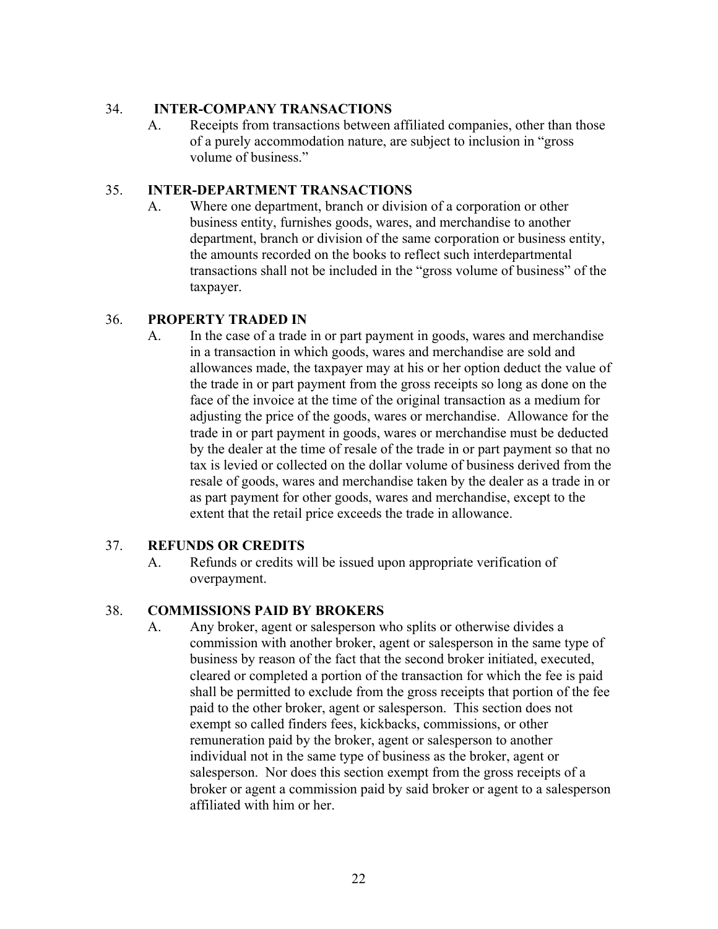#### 34. **INTER-COMPANY TRANSACTIONS**

A. Receipts from transactions between affiliated companies, other than those of a purely accommodation nature, are subject to inclusion in "gross volume of business."

## 35. **INTER-DEPARTMENT TRANSACTIONS**

A. Where one department, branch or division of a corporation or other business entity, furnishes goods, wares, and merchandise to another department, branch or division of the same corporation or business entity, the amounts recorded on the books to reflect such interdepartmental transactions shall not be included in the "gross volume of business" of the taxpayer.

#### 36. **PROPERTY TRADED IN**

A. In the case of a trade in or part payment in goods, wares and merchandise in a transaction in which goods, wares and merchandise are sold and allowances made, the taxpayer may at his or her option deduct the value of the trade in or part payment from the gross receipts so long as done on the face of the invoice at the time of the original transaction as a medium for adjusting the price of the goods, wares or merchandise. Allowance for the trade in or part payment in goods, wares or merchandise must be deducted by the dealer at the time of resale of the trade in or part payment so that no tax is levied or collected on the dollar volume of business derived from the resale of goods, wares and merchandise taken by the dealer as a trade in or as part payment for other goods, wares and merchandise, except to the extent that the retail price exceeds the trade in allowance.

#### 37. **REFUNDS OR CREDITS**

A. Refunds or credits will be issued upon appropriate verification of overpayment.

#### 38. **COMMISSIONS PAID BY BROKERS**

A. Any broker, agent or salesperson who splits or otherwise divides a commission with another broker, agent or salesperson in the same type of business by reason of the fact that the second broker initiated, executed, cleared or completed a portion of the transaction for which the fee is paid shall be permitted to exclude from the gross receipts that portion of the fee paid to the other broker, agent or salesperson. This section does not exempt so called finders fees, kickbacks, commissions, or other remuneration paid by the broker, agent or salesperson to another individual not in the same type of business as the broker, agent or salesperson. Nor does this section exempt from the gross receipts of a broker or agent a commission paid by said broker or agent to a salesperson affiliated with him or her.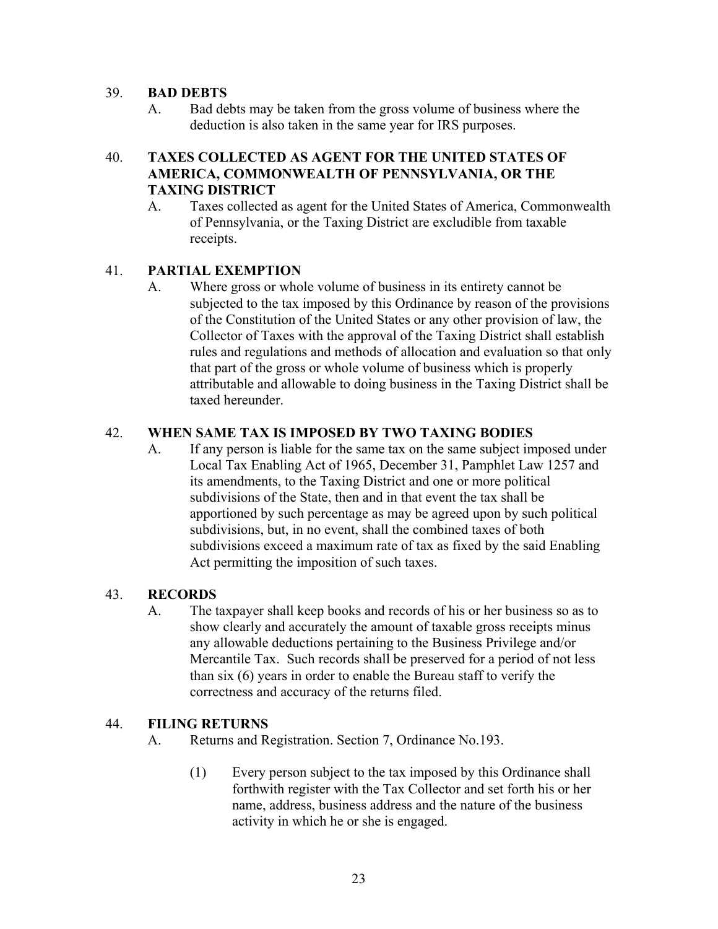#### 39. **BAD DEBTS**

A. Bad debts may be taken from the gross volume of business where the deduction is also taken in the same year for IRS purposes.

#### 40. **TAXES COLLECTED AS AGENT FOR THE UNITED STATES OF AMERICA, COMMONWEALTH OF PENNSYLVANIA, OR THE TAXING DISTRICT**

A. Taxes collected as agent for the United States of America, Commonwealth of Pennsylvania, or the Taxing District are excludible from taxable receipts.

#### 41. **PARTIAL EXEMPTION**

A. Where gross or whole volume of business in its entirety cannot be subjected to the tax imposed by this Ordinance by reason of the provisions of the Constitution of the United States or any other provision of law, the Collector of Taxes with the approval of the Taxing District shall establish rules and regulations and methods of allocation and evaluation so that only that part of the gross or whole volume of business which is properly attributable and allowable to doing business in the Taxing District shall be taxed hereunder.

#### 42. **WHEN SAME TAX IS IMPOSED BY TWO TAXING BODIES**

A. If any person is liable for the same tax on the same subject imposed under Local Tax Enabling Act of 1965, December 31, Pamphlet Law 1257 and its amendments, to the Taxing District and one or more political subdivisions of the State, then and in that event the tax shall be apportioned by such percentage as may be agreed upon by such political subdivisions, but, in no event, shall the combined taxes of both subdivisions exceed a maximum rate of tax as fixed by the said Enabling Act permitting the imposition of such taxes.

#### 43. **RECORDS**

A. The taxpayer shall keep books and records of his or her business so as to show clearly and accurately the amount of taxable gross receipts minus any allowable deductions pertaining to the Business Privilege and/or Mercantile Tax. Such records shall be preserved for a period of not less than six (6) years in order to enable the Bureau staff to verify the correctness and accuracy of the returns filed.

#### 44. **FILING RETURNS**

- A. Returns and Registration. Section 7, Ordinance No.193.
	- (1) Every person subject to the tax imposed by this Ordinance shall forthwith register with the Tax Collector and set forth his or her name, address, business address and the nature of the business activity in which he or she is engaged.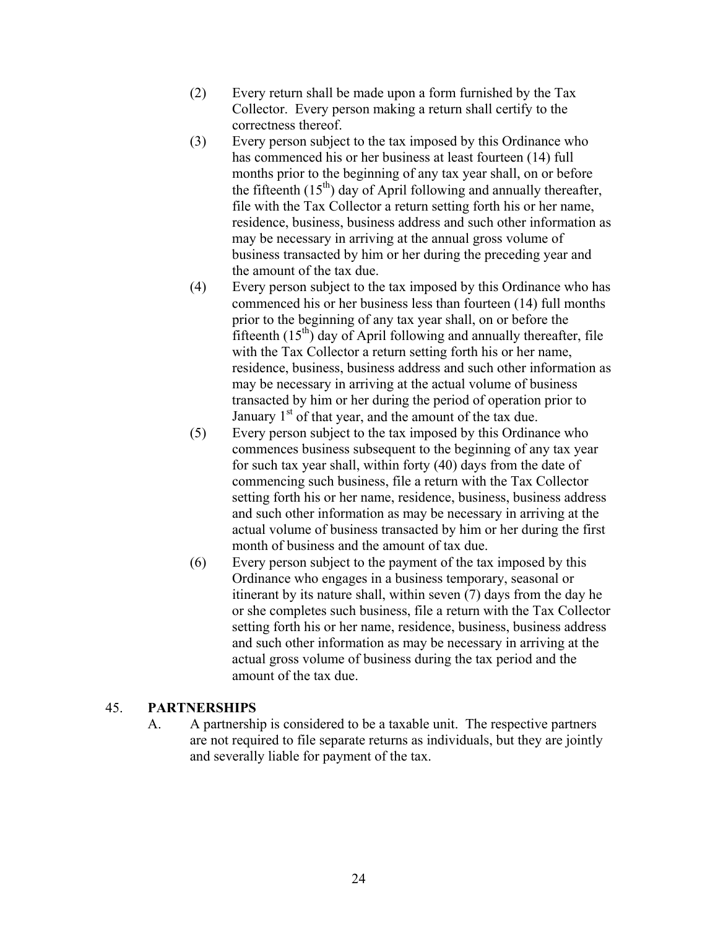- (2) Every return shall be made upon a form furnished by the Tax Collector. Every person making a return shall certify to the correctness thereof.
- (3) Every person subject to the tax imposed by this Ordinance who has commenced his or her business at least fourteen (14) full months prior to the beginning of any tax year shall, on or before the fifteenth  $(15<sup>th</sup>)$  day of April following and annually thereafter, file with the Tax Collector a return setting forth his or her name, residence, business, business address and such other information as may be necessary in arriving at the annual gross volume of business transacted by him or her during the preceding year and the amount of the tax due.
- (4) Every person subject to the tax imposed by this Ordinance who has commenced his or her business less than fourteen (14) full months prior to the beginning of any tax year shall, on or before the fifteenth  $(15<sup>th</sup>)$  day of April following and annually thereafter, file with the Tax Collector a return setting forth his or her name, residence, business, business address and such other information as may be necessary in arriving at the actual volume of business transacted by him or her during the period of operation prior to January  $1<sup>st</sup>$  of that year, and the amount of the tax due.
- (5) Every person subject to the tax imposed by this Ordinance who commences business subsequent to the beginning of any tax year for such tax year shall, within forty (40) days from the date of commencing such business, file a return with the Tax Collector setting forth his or her name, residence, business, business address and such other information as may be necessary in arriving at the actual volume of business transacted by him or her during the first month of business and the amount of tax due.
- (6) Every person subject to the payment of the tax imposed by this Ordinance who engages in a business temporary, seasonal or itinerant by its nature shall, within seven (7) days from the day he or she completes such business, file a return with the Tax Collector setting forth his or her name, residence, business, business address and such other information as may be necessary in arriving at the actual gross volume of business during the tax period and the amount of the tax due.

#### 45. **PARTNERSHIPS**

A. A partnership is considered to be a taxable unit. The respective partners are not required to file separate returns as individuals, but they are jointly and severally liable for payment of the tax.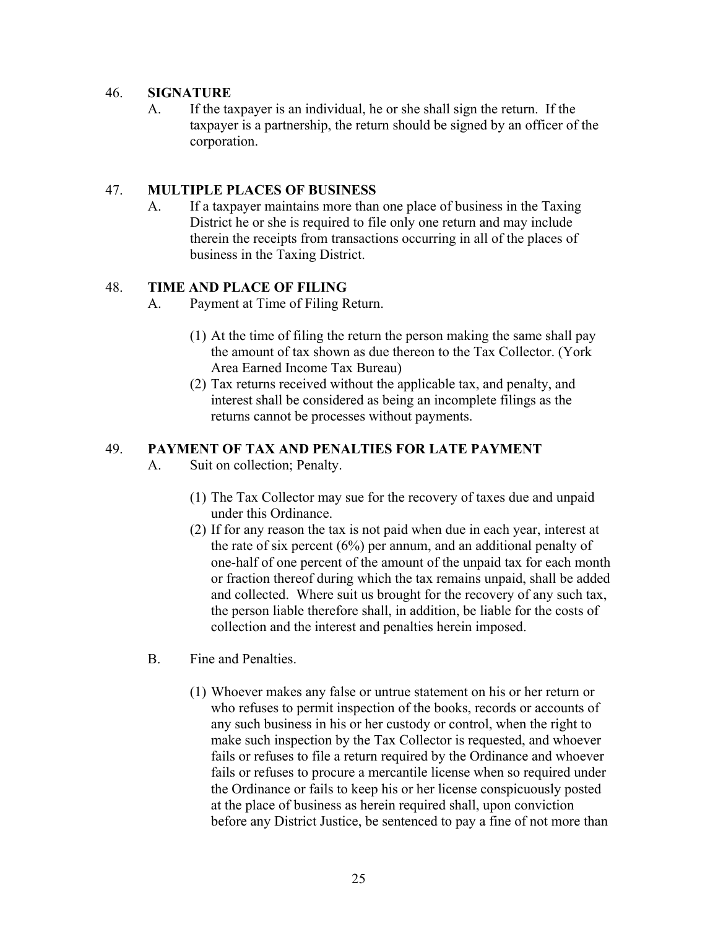#### 46. **SIGNATURE**

A. If the taxpayer is an individual, he or she shall sign the return. If the taxpayer is a partnership, the return should be signed by an officer of the corporation.

#### 47. **MULTIPLE PLACES OF BUSINESS**

A. If a taxpayer maintains more than one place of business in the Taxing District he or she is required to file only one return and may include therein the receipts from transactions occurring in all of the places of business in the Taxing District.

#### 48. **TIME AND PLACE OF FILING**

- A. Payment at Time of Filing Return.
	- (1) At the time of filing the return the person making the same shall pay the amount of tax shown as due thereon to the Tax Collector. (York Area Earned Income Tax Bureau)
	- (2) Tax returns received without the applicable tax, and penalty, and interest shall be considered as being an incomplete filings as the returns cannot be processes without payments.

#### 49. **PAYMENT OF TAX AND PENALTIES FOR LATE PAYMENT**

- A. Suit on collection; Penalty.
	- (1) The Tax Collector may sue for the recovery of taxes due and unpaid under this Ordinance.
	- (2) If for any reason the tax is not paid when due in each year, interest at the rate of six percent (6%) per annum, and an additional penalty of one-half of one percent of the amount of the unpaid tax for each month or fraction thereof during which the tax remains unpaid, shall be added and collected. Where suit us brought for the recovery of any such tax, the person liable therefore shall, in addition, be liable for the costs of collection and the interest and penalties herein imposed.
- B. Fine and Penalties.
	- (1) Whoever makes any false or untrue statement on his or her return or who refuses to permit inspection of the books, records or accounts of any such business in his or her custody or control, when the right to make such inspection by the Tax Collector is requested, and whoever fails or refuses to file a return required by the Ordinance and whoever fails or refuses to procure a mercantile license when so required under the Ordinance or fails to keep his or her license conspicuously posted at the place of business as herein required shall, upon conviction before any District Justice, be sentenced to pay a fine of not more than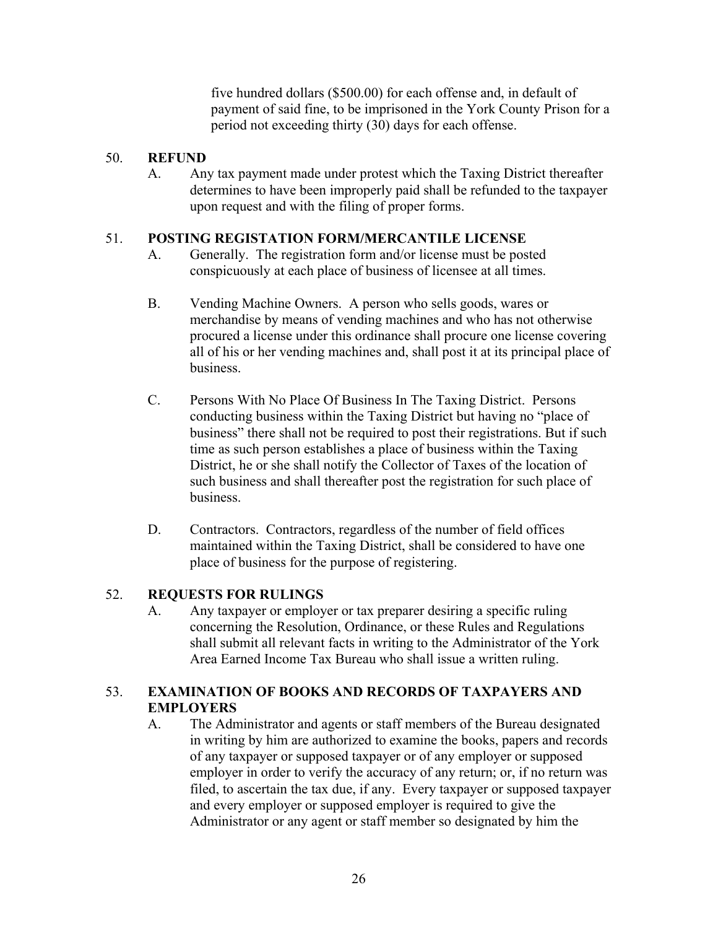five hundred dollars (\$500.00) for each offense and, in default of payment of said fine, to be imprisoned in the York County Prison for a period not exceeding thirty (30) days for each offense.

#### 50. **REFUND**

A. Any tax payment made under protest which the Taxing District thereafter determines to have been improperly paid shall be refunded to the taxpayer upon request and with the filing of proper forms.

#### 51. **POSTING REGISTATION FORM/MERCANTILE LICENSE**

- A. Generally. The registration form and/or license must be posted conspicuously at each place of business of licensee at all times.
- B. Vending Machine Owners. A person who sells goods, wares or merchandise by means of vending machines and who has not otherwise procured a license under this ordinance shall procure one license covering all of his or her vending machines and, shall post it at its principal place of business.
- C. Persons With No Place Of Business In The Taxing District. Persons conducting business within the Taxing District but having no "place of business" there shall not be required to post their registrations. But if such time as such person establishes a place of business within the Taxing District, he or she shall notify the Collector of Taxes of the location of such business and shall thereafter post the registration for such place of business.
- D. Contractors. Contractors, regardless of the number of field offices maintained within the Taxing District, shall be considered to have one place of business for the purpose of registering.

#### 52. **REQUESTS FOR RULINGS**

A. Any taxpayer or employer or tax preparer desiring a specific ruling concerning the Resolution, Ordinance, or these Rules and Regulations shall submit all relevant facts in writing to the Administrator of the York Area Earned Income Tax Bureau who shall issue a written ruling.

#### 53. **EXAMINATION OF BOOKS AND RECORDS OF TAXPAYERS AND EMPLOYERS**

A. The Administrator and agents or staff members of the Bureau designated in writing by him are authorized to examine the books, papers and records of any taxpayer or supposed taxpayer or of any employer or supposed employer in order to verify the accuracy of any return; or, if no return was filed, to ascertain the tax due, if any. Every taxpayer or supposed taxpayer and every employer or supposed employer is required to give the Administrator or any agent or staff member so designated by him the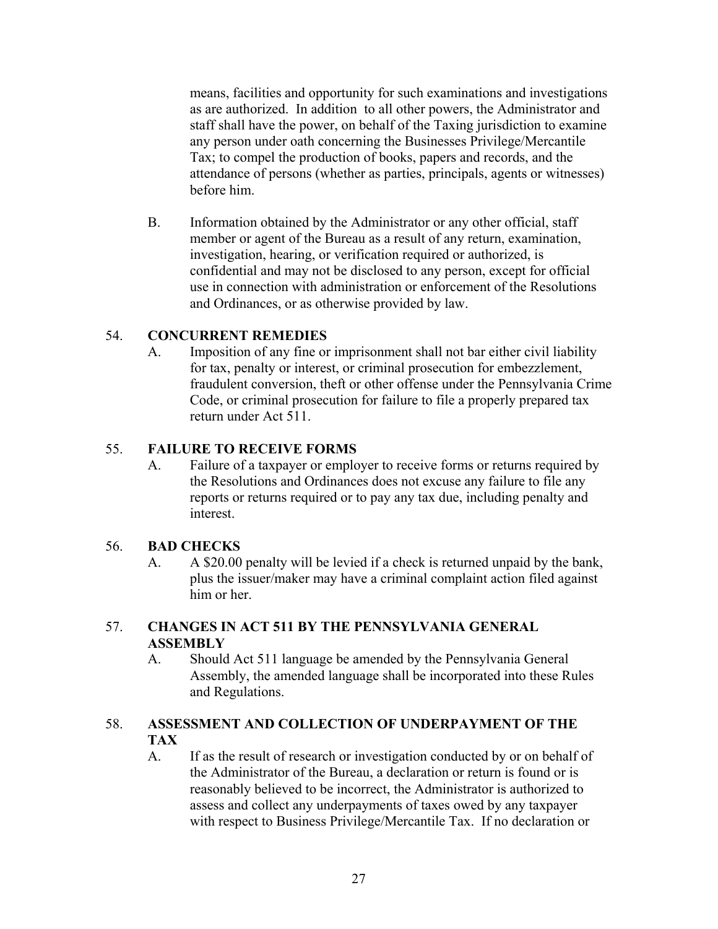means, facilities and opportunity for such examinations and investigations as are authorized. In addition to all other powers, the Administrator and staff shall have the power, on behalf of the Taxing jurisdiction to examine any person under oath concerning the Businesses Privilege/Mercantile Tax; to compel the production of books, papers and records, and the attendance of persons (whether as parties, principals, agents or witnesses) before him.

B. Information obtained by the Administrator or any other official, staff member or agent of the Bureau as a result of any return, examination, investigation, hearing, or verification required or authorized, is confidential and may not be disclosed to any person, except for official use in connection with administration or enforcement of the Resolutions and Ordinances, or as otherwise provided by law.

#### 54. **CONCURRENT REMEDIES**

A. Imposition of any fine or imprisonment shall not bar either civil liability for tax, penalty or interest, or criminal prosecution for embezzlement, fraudulent conversion, theft or other offense under the Pennsylvania Crime Code, or criminal prosecution for failure to file a properly prepared tax return under Act 511.

#### 55. **FAILURE TO RECEIVE FORMS**

A. Failure of a taxpayer or employer to receive forms or returns required by the Resolutions and Ordinances does not excuse any failure to file any reports or returns required or to pay any tax due, including penalty and interest.

#### 56. **BAD CHECKS**

A. A \$20.00 penalty will be levied if a check is returned unpaid by the bank, plus the issuer/maker may have a criminal complaint action filed against him or her.

#### 57. **CHANGES IN ACT 511 BY THE PENNSYLVANIA GENERAL ASSEMBLY**

A. Should Act 511 language be amended by the Pennsylvania General Assembly, the amended language shall be incorporated into these Rules and Regulations.

#### 58. **ASSESSMENT AND COLLECTION OF UNDERPAYMENT OF THE TAX**

A. If as the result of research or investigation conducted by or on behalf of the Administrator of the Bureau, a declaration or return is found or is reasonably believed to be incorrect, the Administrator is authorized to assess and collect any underpayments of taxes owed by any taxpayer with respect to Business Privilege/Mercantile Tax. If no declaration or